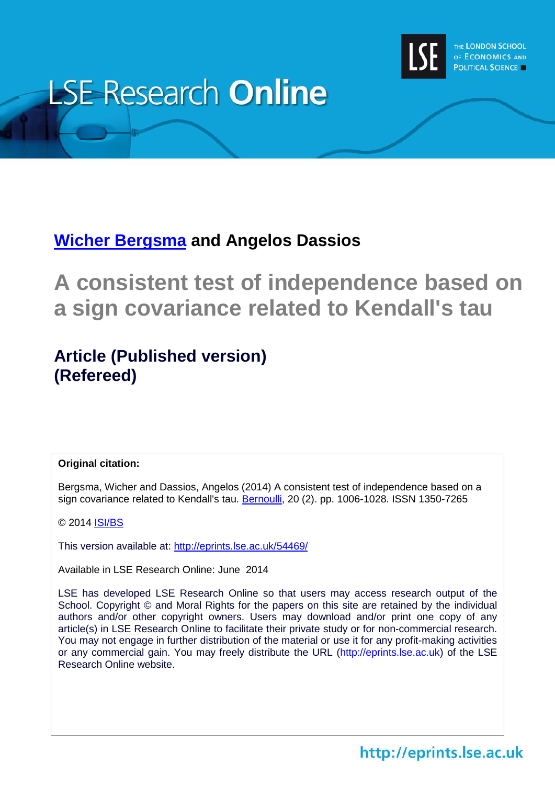

# **LSE Research Online**

# **Wicher [Bergsma](http://www.lse.ac.uk/researchAndExpertise/Experts/profile.aspx?KeyValue=w.p.bergsma@lse.ac.uk) and Angelos Dassios**

**A consistent test of independence based on a sign covariance related to Kendall's tau**

# **Article (Published version) (Refereed)**

## **Original citation:**

Bergsma, Wicher and Dassios, Angelos (2014) A consistent test of independence based on a sign covariance related to Kendall's tau. [Bernoulli,](http://www.bernoulli-society.org/index.php/publications/bernoulli-journal-39693/bernoulli-journal) 20 (2). pp. 1006-1028. ISSN 1350-7265

© 2014 **ISI/BS** 

This version available at:<http://eprints.lse.ac.uk/54469/>

Available in LSE Research Online: June 2014

LSE has developed LSE Research Online so that users may access research output of the School. Copyright © and Moral Rights for the papers on this site are retained by the individual authors and/or other copyright owners. Users may download and/or print one copy of any article(s) in LSE Research Online to facilitate their private study or for non-commercial research. You may not engage in further distribution of the material or use it for any profit-making activities or any commercial gain. You may freely distribute the URL (http://eprints.lse.ac.uk) of the LSE Research Online website.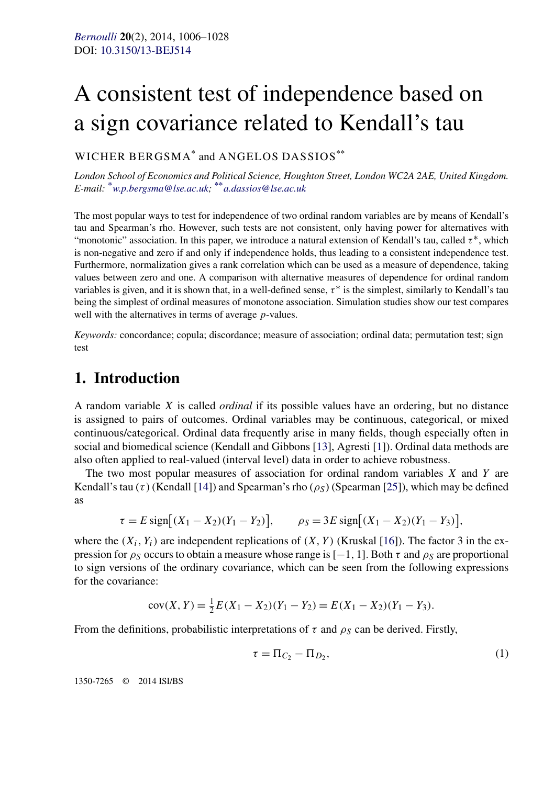# A consistent test of independence based on a sign covariance related to Kendall's tau

#### WICHER BERGSMA\* and ANGELOS DASSIOS\*\*

*London School of Economics and Political Science, Houghton Street, London WC2A 2AE, United Kingdom. E-mail:* \**[w.p.bergsma@lse.ac.uk;](mailto:w.p.bergsma@lse.ac.uk)* \*\**[a.dassios@lse.ac.uk](mailto:a.dassios@lse.ac.uk)*

The most popular ways to test for independence of two ordinal random variables are by means of Kendall's tau and Spearman's rho. However, such tests are not consistent, only having power for alternatives with "monotonic" association. In this paper, we introduce a natural extension of Kendall's tau, called *τ* <sup>∗</sup>, which is non-negative and zero if and only if independence holds, thus leading to a consistent independence test. Furthermore, normalization gives a rank correlation which can be used as a measure of dependence, taking values between zero and one. A comparison with alternative measures of dependence for ordinal random variables is given, and it is shown that, in a well-defined sense,  $\tau^*$  is the simplest, similarly to Kendall's tau being the simplest of ordinal measures of monotone association. Simulation studies show our test compares well with the alternatives in terms of average *p*-values.

*Keywords:* concordance; copula; discordance; measure of association; ordinal data; permutation test; sign test

## **1. Introduction**

A random variable *X* is called *ordinal* if its possible values have an ordering, but no distance is assigned to pairs of outcomes. Ordinal variables may be continuous, categorical, or mixed continuous/categorical. Ordinal data frequently arise in many fields, though especially often in social and biomedical science (Kendall and Gibbons [\[13\]](#page-23-0), Agresti [\[1\]](#page-22-0)). Ordinal data methods are also often applied to real-valued (interval level) data in order to achieve robustness.

The two most popular measures of association for ordinal random variables *X* and *Y* are Kendall's tau  $(\tau)$  (Kendall [\[14\]](#page-23-0)) and Spearman's rho  $(\rho_S)$  (Spearman [\[25\]](#page-23-0)), which may be defined as

$$
\tau = E \operatorname{sign}[(X_1 - X_2)(Y_1 - Y_2)], \qquad \rho_S = 3E \operatorname{sign}[(X_1 - X_2)(Y_1 - Y_3)],
$$

where the  $(X_i, Y_i)$  are independent replications of  $(X, Y)$  (Kruskal [\[16\]](#page-23-0)). The factor 3 in the expression for  $\rho_S$  occurs to obtain a measure whose range is [−1, 1]. Both  $\tau$  and  $\rho_S$  are proportional to sign versions of the ordinary covariance, which can be seen from the following expressions for the covariance:

$$
cov(X, Y) = \frac{1}{2}E(X_1 - X_2)(Y_1 - Y_2) = E(X_1 - X_2)(Y_1 - Y_3).
$$

From the definitions, probabilistic interpretations of  $\tau$  and  $\rho_S$  can be derived. Firstly,

$$
\tau = \Pi_{C_2} - \Pi_{D_2},\tag{1}
$$

1350-7265 © 2014 ISI/BS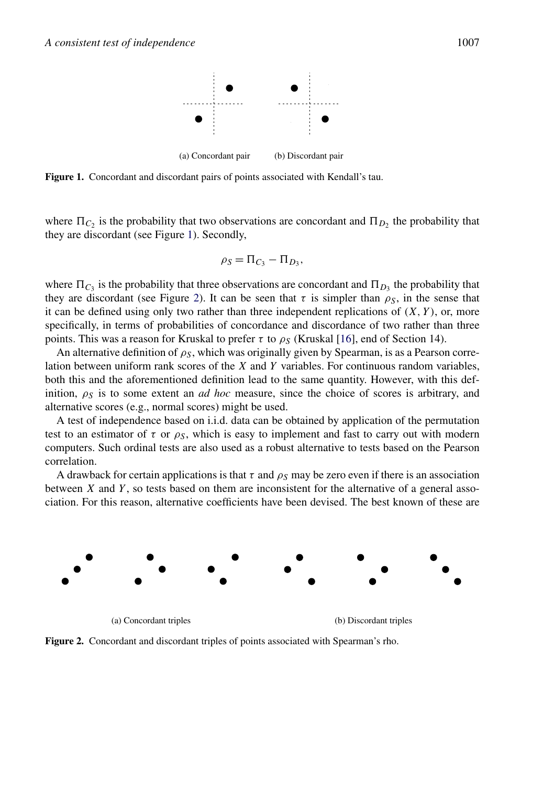

**Figure 1.** Concordant and discordant pairs of points associated with Kendall's tau.

where  $\Pi_{C_2}$  is the probability that two observations are concordant and  $\Pi_{D_2}$  the probability that they are discordant (see Figure 1). Secondly,

$$
\rho_S = \Pi_{C_3} - \Pi_{D_3},
$$

where  $\Pi_{C_3}$  is the probability that three observations are concordant and  $\Pi_{D_3}$  the probability that they are discordant (see Figure 2). It can be seen that  $\tau$  is simpler than  $\rho_s$ , in the sense that it can be defined using only two rather than three independent replications of  $(X, Y)$ , or, more specifically, in terms of probabilities of concordance and discordance of two rather than three points. This was a reason for Kruskal to prefer *τ* to  $ρ_S$  (Kruskal [\[16\]](#page-23-0), end of Section 14).

An alternative definition of  $\rho_s$ , which was originally given by Spearman, is as a Pearson correlation between uniform rank scores of the *X* and *Y* variables. For continuous random variables, both this and the aforementioned definition lead to the same quantity. However, with this definition,  $\rho_S$  is to some extent an *ad hoc* measure, since the choice of scores is arbitrary, and alternative scores (e.g., normal scores) might be used.

A test of independence based on i.i.d. data can be obtained by application of the permutation test to an estimator of  $\tau$  or  $\rho_s$ , which is easy to implement and fast to carry out with modern computers. Such ordinal tests are also used as a robust alternative to tests based on the Pearson correlation.

A drawback for certain applications is that  $\tau$  and  $\rho_s$  may be zero even if there is an association between *X* and *Y* , so tests based on them are inconsistent for the alternative of a general association. For this reason, alternative coefficients have been devised. The best known of these are



(a) Concordant triples (b) Discordant triples

**Figure 2.** Concordant and discordant triples of points associated with Spearman's rho.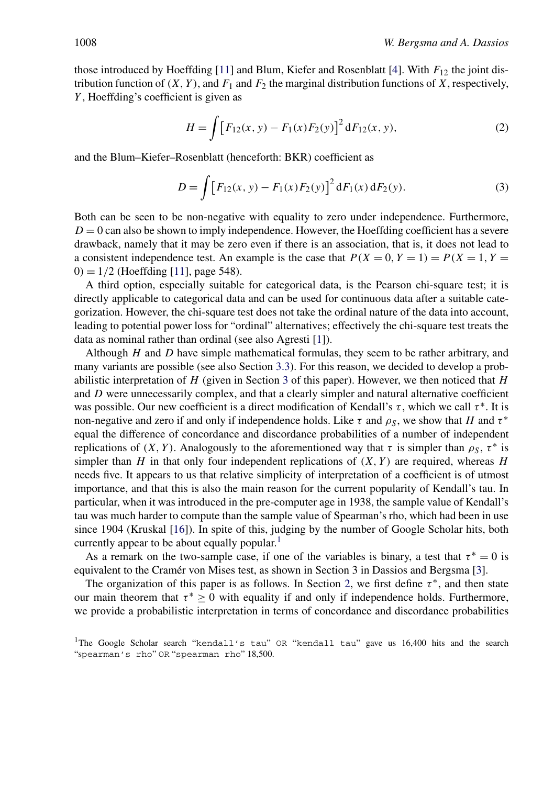<span id="page-3-0"></span>those introduced by Hoeffding  $[11]$  and Blum, Kiefer and Rosenblatt  $[4]$ . With  $F_{12}$  the joint distribution function of  $(X, Y)$ , and  $F_1$  and  $F_2$  the marginal distribution functions of *X*, respectively, *Y* , Hoeffding's coefficient is given as

$$
H = \int \left[ F_{12}(x, y) - F_1(x) F_2(y) \right]^2 dF_{12}(x, y), \tag{2}
$$

and the Blum–Kiefer–Rosenblatt (henceforth: BKR) coefficient as

$$
D = \int [F_{12}(x, y) - F_1(x)F_2(y)]^2 dF_1(x) dF_2(y).
$$
 (3)

Both can be seen to be non-negative with equality to zero under independence. Furthermore,  $D = 0$  can also be shown to imply independence. However, the Hoeffding coefficient has a severe drawback, namely that it may be zero even if there is an association, that is, it does not lead to a consistent independence test. An example is the case that  $P(X = 0, Y = 1) = P(X = 1, Y = 1)$ 0*)* = 1*/*2 (Hoeffding [\[11\]](#page-22-0), page 548).

A third option, especially suitable for categorical data, is the Pearson chi-square test; it is directly applicable to categorical data and can be used for continuous data after a suitable categorization. However, the chi-square test does not take the ordinal nature of the data into account, leading to potential power loss for "ordinal" alternatives; effectively the chi-square test treats the data as nominal rather than ordinal (see also Agresti [\[1\]](#page-22-0)).

Although *H* and *D* have simple mathematical formulas, they seem to be rather arbitrary, and many variants are possible (see also Section [3.3\)](#page-9-0). For this reason, we decided to develop a probabilistic interpretation of *H* (given in Section [3](#page-7-0) of this paper). However, we then noticed that *H* and *D* were unnecessarily complex, and that a clearly simpler and natural alternative coefficient was possible. Our new coefficient is a direct modification of Kendall's *τ*, which we call *τ*<sup>\*</sup>. It is non-negative and zero if and only if independence holds. Like  $\tau$  and  $\rho_S$ , we show that *H* and  $\tau^*$ equal the difference of concordance and discordance probabilities of a number of independent replications of *(X, Y)*. Analogously to the aforementioned way that  $\tau$  is simpler than  $\rho_S$ ,  $\tau^*$  is simpler than  $H$  in that only four independent replications of  $(X, Y)$  are required, whereas  $H$ needs five. It appears to us that relative simplicity of interpretation of a coefficient is of utmost importance, and that this is also the main reason for the current popularity of Kendall's tau. In particular, when it was introduced in the pre-computer age in 1938, the sample value of Kendall's tau was much harder to compute than the sample value of Spearman's rho, which had been in use since 1904 (Kruskal [\[16\]](#page-23-0)). In spite of this, judging by the number of Google Scholar hits, both currently appear to be about equally popular.<sup>1</sup>

As a remark on the two-sample case, if one of the variables is binary, a test that  $\tau^* = 0$  is equivalent to the Cramér von Mises test, as shown in Section 3 in Dassios and Bergsma [\[3\]](#page-22-0).

The organization of this paper is as follows. In Section [2,](#page-4-0) we first define  $\tau^*$ , and then state our main theorem that  $\tau^* \geq 0$  with equality if and only if independence holds. Furthermore, we provide a probabilistic interpretation in terms of concordance and discordance probabilities

<sup>&</sup>lt;sup>1</sup>The Google Scholar search "kendall's tau" OR "kendall tau" gave us  $16,400$  hits and the search "spearman's rho" OR "spearman rho" 18,500.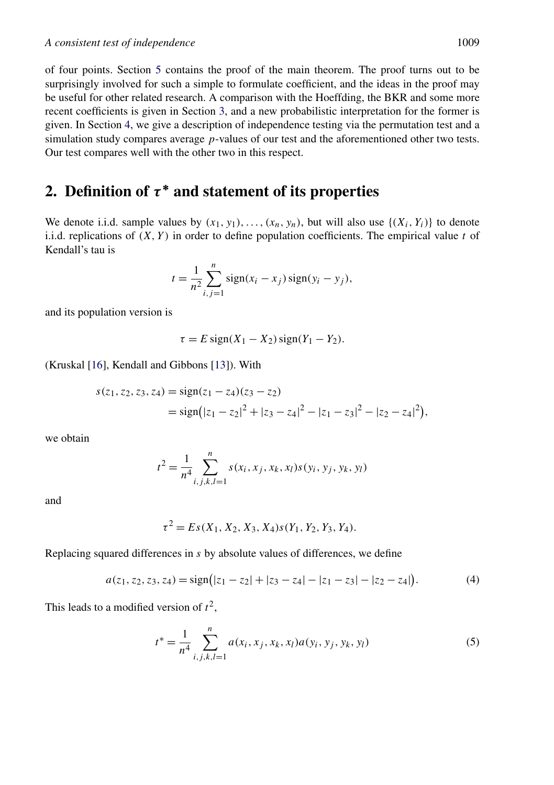<span id="page-4-0"></span>of four points. Section [5](#page-14-0) contains the proof of the main theorem. The proof turns out to be surprisingly involved for such a simple to formulate coefficient, and the ideas in the proof may be useful for other related research. A comparison with the Hoeffding, the BKR and some more recent coefficients is given in Section [3,](#page-7-0) and a new probabilistic interpretation for the former is given. In Section [4,](#page-10-0) we give a description of independence testing via the permutation test and a simulation study compares average *p*-values of our test and the aforementioned other two tests. Our test compares well with the other two in this respect.

# **2.** Definition of  $\tau^*$  and statement of its properties

We denote i.i.d. sample values by  $(x_1, y_1), \ldots, (x_n, y_n)$ , but will also use  $\{(X_i, Y_i)\}$  to denote i.i.d. replications of *(X, Y )* in order to define population coefficients. The empirical value *t* of Kendall's tau is

$$
t = \frac{1}{n^2} \sum_{i,j=1}^{n} sign(x_i - x_j) sign(y_i - y_j),
$$

and its population version is

$$
\tau = E \operatorname{sign}(X_1 - X_2) \operatorname{sign}(Y_1 - Y_2).
$$

(Kruskal [\[16\]](#page-23-0), Kendall and Gibbons [\[13\]](#page-23-0)). With

$$
s(z_1, z_2, z_3, z_4) = sign(z_1 - z_4)(z_3 - z_2)
$$
  
= sign(|z\_1 - z\_2|^2 + |z\_3 - z\_4|^2 - |z\_1 - z\_3|^2 - |z\_2 - z\_4|^2),

we obtain

$$
t^{2} = \frac{1}{n^{4}} \sum_{i,j,k,l=1}^{n} s(x_{i}, x_{j}, x_{k}, x_{l}) s(y_{i}, y_{j}, y_{k}, y_{l})
$$

and

$$
\tau^2 = Es(X_1, X_2, X_3, X_4)s(Y_1, Y_2, Y_3, Y_4).
$$

Replacing squared differences in *s* by absolute values of differences, we define

$$
a(z_1, z_2, z_3, z_4) = sign(|z_1 - z_2| + |z_3 - z_4| - |z_1 - z_3| - |z_2 - z_4|). \tag{4}
$$

This leads to a modified version of  $t^2$ ,

$$
t^* = \frac{1}{n^4} \sum_{i,j,k,l=1}^n a(x_i, x_j, x_k, x_l) a(y_i, y_j, y_k, y_l)
$$
 (5)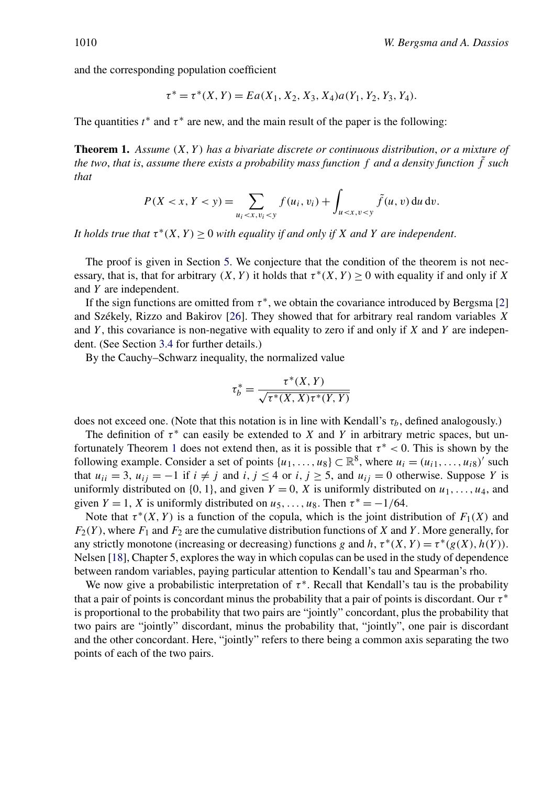<span id="page-5-0"></span>and the corresponding population coefficient

$$
\tau^* = \tau^*(X, Y) = Ea(X_1, X_2, X_3, X_4)a(Y_1, Y_2, Y_3, Y_4).
$$

The quantities  $t^*$  and  $\tau^*$  are new, and the main result of the paper is the following:

**Theorem 1.** *Assume (X, Y ) has a bivariate discrete or continuous distribution*, *or a mixture of the two*, *that is*, *assume there exists a probability mass function f and a density function f*˜ *such that*

$$
P(X < x, Y < y) = \sum_{u_i < x, v_i < y} f(u_i, v_i) + \int_{u < x, v < y} \tilde{f}(u, v) \, du \, dv.
$$

*It holds true that*  $\tau^*(X, Y) \geq 0$  *with equality if and only if X and Y are independent.* 

The proof is given in Section [5.](#page-14-0) We conjecture that the condition of the theorem is not necessary, that is, that for arbitrary  $(X, Y)$  it holds that  $\tau^*(X, Y) \ge 0$  with equality if and only if X and *Y* are independent.

If the sign functions are omitted from  $\tau^*$ , we obtain the covariance introduced by Bergsma [\[2\]](#page-22-0) and Székely, Rizzo and Bakirov [\[26\]](#page-23-0). They showed that for arbitrary real random variables *X* and *Y* , this covariance is non-negative with equality to zero if and only if *X* and *Y* are independent. (See Section [3.4](#page-9-0) for further details.)

By the Cauchy–Schwarz inequality, the normalized value

$$
\tau_b^* = \frac{\tau^*(X, Y)}{\sqrt{\tau^*(X, X)\tau^*(Y, Y)}}
$$

does not exceed one. (Note that this notation is in line with Kendall's  $\tau_b$ , defined analogously.)

The definition of  $\tau^*$  can easily be extended to *X* and *Y* in arbitrary metric spaces, but unfortunately Theorem 1 does not extend then, as it is possible that *τ* <sup>∗</sup> *<* 0. This is shown by the following example. Consider a set of points  $\{u_1, \ldots, u_8\} \subset \mathbb{R}^8$ , where  $u_i = (u_{i1}, \ldots, u_{i8})'$  such that  $u_{ii} = 3$ ,  $u_{ij} = -1$  if  $i \neq j$  and  $i, j \leq 4$  or  $i, j \geq 5$ , and  $u_{ij} = 0$  otherwise. Suppose *Y* is uniformly distributed on  $\{0, 1\}$ , and given  $Y = 0$ , X is uniformly distributed on  $u_1, \ldots, u_4$ , and given  $Y = 1$ , *X* is uniformly distributed on  $u_5, \ldots, u_8$ . Then  $\tau^* = -1/64$ .

Note that  $\tau^*(X, Y)$  is a function of the copula, which is the joint distribution of  $F_1(X)$  and  $F_2(Y)$ , where  $F_1$  and  $F_2$  are the cumulative distribution functions of *X* and *Y*. More generally, for any strictly monotone (increasing or decreasing) functions *g* and *h*,  $\tau^*(X, Y) = \tau^*(g(X), h(Y))$ . Nelsen [\[18\]](#page-23-0), Chapter 5, explores the way in which copulas can be used in the study of dependence between random variables, paying particular attention to Kendall's tau and Spearman's rho.

We now give a probabilistic interpretation of  $\tau^*$ . Recall that Kendall's tau is the probability that a pair of points is concordant minus the probability that a pair of points is discordant. Our *τ* <sup>∗</sup> is proportional to the probability that two pairs are "jointly" concordant, plus the probability that two pairs are "jointly" discordant, minus the probability that, "jointly", one pair is discordant and the other concordant. Here, "jointly" refers to there being a common axis separating the two points of each of the two pairs.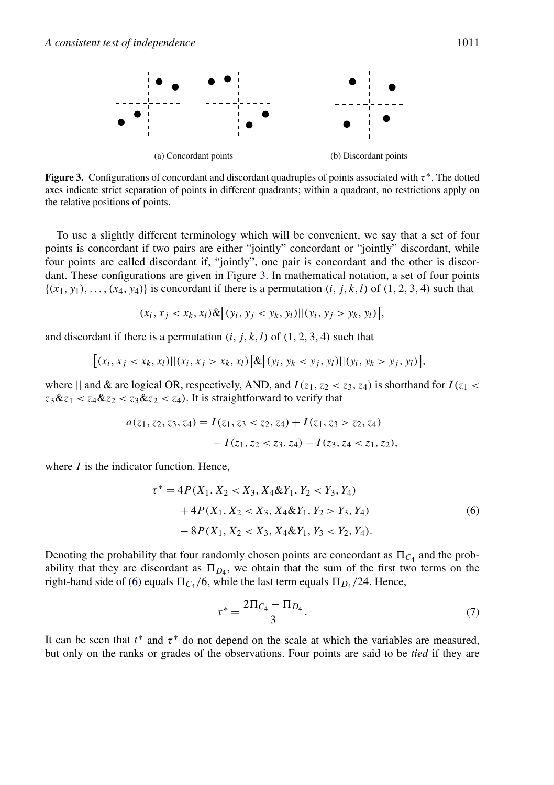<span id="page-6-0"></span>

**Figure 3.** Configurations of concordant and discordant quadruples of points associated with  $\tau^*$ . The dotted axes indicate strict separation of points in different quadrants; within a quadrant, no restrictions apply on the relative positions of points.

To use a slightly different terminology which will be convenient, we say that a set of four points is concordant if two pairs are either "jointly" concordant or "jointly" discordant, while four points are called discordant if, "jointly", one pair is concordant and the other is discordant. These configurations are given in Figure 3. In mathematical notation, a set of four points  ${(x_1, y_1), \ldots, (x_4, y_4)}$  is concordant if there is a permutation  $(i, j, k, l)$  of  $(1, 2, 3, 4)$  such that

$$
(x_i, x_j < x_k, x_l) \& \big[ (y_i, y_j < y_k, y_l) \big] | (y_i, y_j > y_k, y_l) \big],
$$

and discordant if there is a permutation  $(i, j, k, l)$  of  $(1, 2, 3, 4)$  such that

$$
[(x_i, x_j < x_k, x_l) || (x_i, x_j > x_k, x_l)] \& [(y_i, y_k < y_j, y_l) || (y_i, y_k > y_j, y_l)],
$$

where  $\parallel$  and & are logical OR, respectively, AND, and  $I(z_1, z_2 < z_3, z_4)$  is shorthand for  $I(z_1 < z_2 < z_3, z_4)$  $z_3 \& z_1 < z_4 \& z_2 < z_3 \& z_2 < z_4$ ). It is straightforward to verify that

$$
a(z_1, z_2, z_3, z_4) = I(z_1, z_3 < z_2, z_4) + I(z_1, z_3 > z_2, z_4)
$$

$$
- I(z_1, z_2 < z_3, z_4) - I(z_3, z_4 < z_1, z_2),
$$

where *I* is the indicator function. Hence,

$$
\tau^* = 4P(X_1, X_2 < X_3, X_4 \& Y_1, Y_2 < Y_3, Y_4) \\
+ 4P(X_1, X_2 < X_3, X_4 \& Y_1, Y_2 > Y_3, Y_4) \\
- 8P(X_1, X_2 < X_3, X_4 \& Y_1, Y_3 < Y_2, Y_4).
$$
\n
$$
(6)
$$

Denoting the probability that four randomly chosen points are concordant as  $\Pi_{C_4}$  and the probability that they are discordant as  $\Pi_{D_4}$ , we obtain that the sum of the first two terms on the right-hand side of (6) equals  $\Pi_{C_4}$ /6, while the last term equals  $\Pi_{D_4}/24$ . Hence,

$$
\tau^* = \frac{2\Pi_{C_4} - \Pi_{D_4}}{3}.\tag{7}
$$

It can be seen that  $t^*$  and  $\tau^*$  do not depend on the scale at which the variables are measured, but only on the ranks or grades of the observations. Four points are said to be *tied* if they are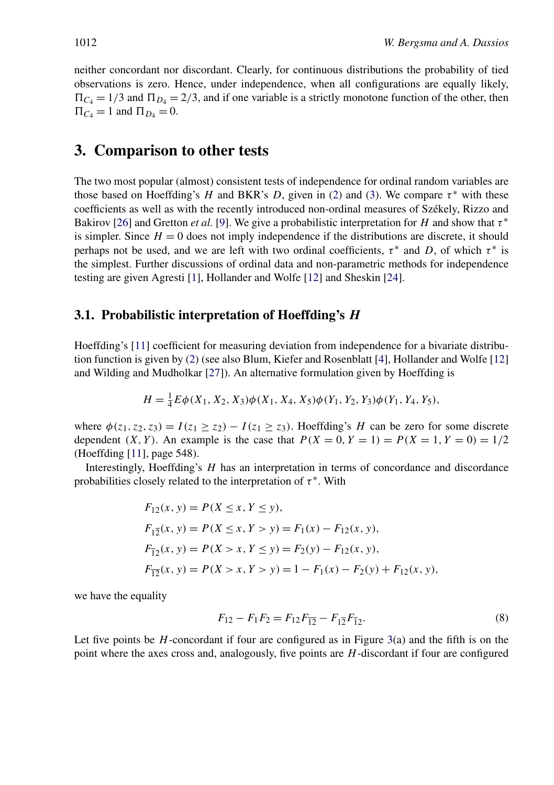<span id="page-7-0"></span>neither concordant nor discordant. Clearly, for continuous distributions the probability of tied observations is zero. Hence, under independence, when all configurations are equally likely,  $\Pi_{C_4} = 1/3$  and  $\Pi_{D_4} = 2/3$ , and if one variable is a strictly monotone function of the other, then  $\Pi_{C_4} = 1$  and  $\Pi_{D_4} = 0$ .

## **3. Comparison to other tests**

The two most popular (almost) consistent tests of independence for ordinal random variables are those based on Hoeffding's *H* and BKR's *D*, given in [\(2\)](#page-3-0) and [\(3\)](#page-3-0). We compare  $\tau^*$  with these coefficients as well as with the recently introduced non-ordinal measures of Székely, Rizzo and Bakirov [\[26\]](#page-23-0) and Gretton *et al.* [\[9\]](#page-22-0). We give a probabilistic interpretation for *H* and show that *τ* <sup>∗</sup> is simpler. Since  $H = 0$  does not imply independence if the distributions are discrete, it should perhaps not be used, and we are left with two ordinal coefficients,  $\tau^*$  and *D*, of which  $\tau^*$  is the simplest. Further discussions of ordinal data and non-parametric methods for independence testing are given Agresti [\[1\]](#page-22-0), Hollander and Wolfe [\[12\]](#page-23-0) and Sheskin [\[24\]](#page-23-0).

#### **3.1. Probabilistic interpretation of Hoeffding's** *H*

Hoeffding's [\[11\]](#page-22-0) coefficient for measuring deviation from independence for a bivariate distribution function is given by [\(2\)](#page-3-0) (see also Blum, Kiefer and Rosenblatt [\[4\]](#page-22-0), Hollander and Wolfe [\[12\]](#page-23-0) and Wilding and Mudholkar [\[27\]](#page-23-0)). An alternative formulation given by Hoeffding is

$$
H = \frac{1}{4}E\phi(X_1, X_2, X_3)\phi(X_1, X_4, X_5)\phi(Y_1, Y_2, Y_3)\phi(Y_1, Y_4, Y_5),
$$

where  $\phi(z_1, z_2, z_3) = I(z_1 \geq z_2) - I(z_1 \geq z_3)$ . Hoeffding's *H* can be zero for some discrete dependent *(X, Y)*. An example is the case that  $P(X = 0, Y = 1) = P(X = 1, Y = 0) = 1/2$ (Hoeffding [\[11\]](#page-22-0), page 548).

Interestingly, Hoeffding's *H* has an interpretation in terms of concordance and discordance probabilities closely related to the interpretation of  $\tau^*$ . With

$$
F_{12}(x, y) = P(X \le x, Y \le y),
$$
  
\n
$$
F_{12}(x, y) = P(X \le x, Y > y) = F_1(x) - F_{12}(x, y),
$$
  
\n
$$
F_{12}(x, y) = P(X > x, Y \le y) = F_2(y) - F_{12}(x, y),
$$
  
\n
$$
F_{12}(x, y) = P(X > x, Y > y) = 1 - F_1(x) - F_2(y) + F_{12}(x, y),
$$

we have the equality

$$
F_{12} - F_1 F_2 = F_{12} F_{\overline{12}} - F_{1\overline{2}} F_{\overline{12}}.
$$
\n(8)

Let five points be *H*-concordant if four are configured as in Figure [3\(](#page-6-0)a) and the fifth is on the point where the axes cross and, analogously, five points are *H*-discordant if four are configured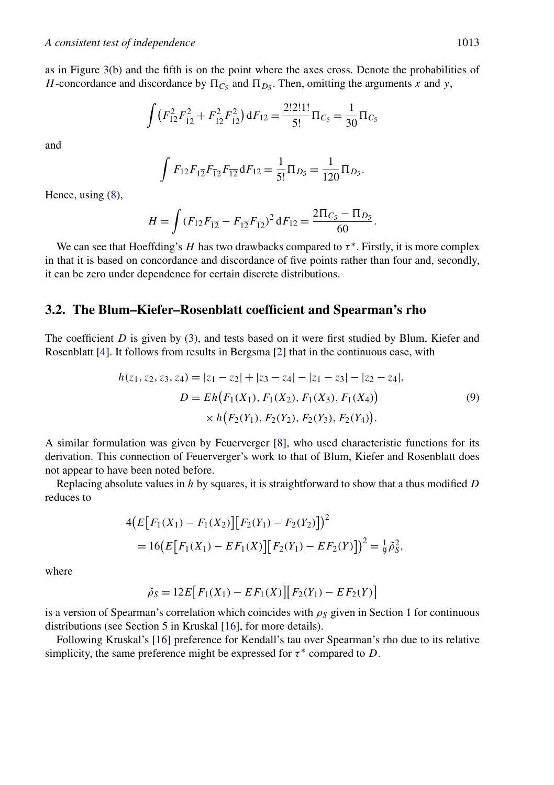<span id="page-8-0"></span>as in Figure [3\(](#page-6-0)b) and the fifth is on the point where the axes cross. Denote the probabilities of *H*-concordance and discordance by  $\Pi_{C_5}$  and  $\Pi_{D_5}$ . Then, omitting the arguments *x* and *y*,

$$
\int (F_{12}^2 F_{\overline{12}}^2 + F_{12}^2 F_{\overline{12}}^2) dF_{12} = \frac{2!2!1!}{5!} \Pi_{C_5} = \frac{1}{30} \Pi_{C_5}
$$

and

$$
\int F_{12}F_{12}F_{12}F_{12} dF_{12} = \frac{1}{5!} \Pi_{D_5} = \frac{1}{120} \Pi_{D_5}.
$$

Hence, using [\(8\)](#page-7-0),

$$
H = \int (F_{12}F_{\overline{12}} - F_{1\overline{2}}F_{\overline{12}})^2 dF_{12} = \frac{2\Pi_{C_5} - \Pi_{D_5}}{60}.
$$

We can see that Hoeffding's *H* has two drawbacks compared to  $\tau^*$ . Firstly, it is more complex in that it is based on concordance and discordance of five points rather than four and, secondly, it can be zero under dependence for certain discrete distributions.

#### **3.2. The Blum–Kiefer–Rosenblatt coefficient and Spearman's rho**

The coefficient *D* is given by [\(3\)](#page-3-0), and tests based on it were first studied by Blum, Kiefer and Rosenblatt [\[4\]](#page-22-0). It follows from results in Bergsma [\[2\]](#page-22-0) that in the continuous case, with

$$
h(z_1, z_2, z_3, z_4) = |z_1 - z_2| + |z_3 - z_4| - |z_1 - z_3| - |z_2 - z_4|,
$$
  
\n
$$
D = Eh(F_1(X_1), F_1(X_2), F_1(X_3), F_1(X_4))
$$
  
\n
$$
\times h(F_2(Y_1), F_2(Y_2), F_2(Y_3), F_2(Y_4)).
$$
\n(9)

A similar formulation was given by Feuerverger [\[8\]](#page-22-0), who used characteristic functions for its derivation. This connection of Feuerverger's work to that of Blum, Kiefer and Rosenblatt does not appear to have been noted before.

Replacing absolute values in *h* by squares, it is straightforward to show that a thus modified *D* reduces to

$$
4(E[F_1(X_1) - F_1(X_2)][F_2(Y_1) - F_2(Y_2)])^2
$$
  
= 16(E[F\_1(X\_1) - EF\_1(X)][F\_2(Y\_1) - EF\_2(Y)])^2 =  $\frac{1}{9}\tilde{\rho}_S^2$ ,

where

$$
\tilde{\rho}_S = 12E[F_1(X_1) - EF_1(X)][F_2(Y_1) - EF_2(Y)]
$$

is a version of Spearman's correlation which coincides with  $\rho_s$  given in Section 1 for continuous distributions (see Section 5 in Kruskal [\[16\]](#page-23-0), for more details).

Following Kruskal's [\[16\]](#page-23-0) preference for Kendall's tau over Spearman's rho due to its relative simplicity, the same preference might be expressed for  $\tau^*$  compared to *D*.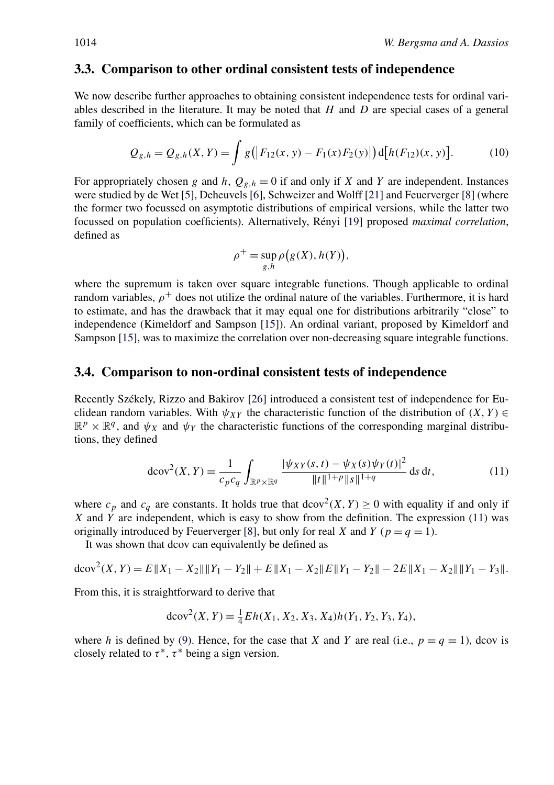#### <span id="page-9-0"></span>**3.3. Comparison to other ordinal consistent tests of independence**

We now describe further approaches to obtaining consistent independence tests for ordinal variables described in the literature. It may be noted that *H* and *D* are special cases of a general family of coefficients, which can be formulated as

$$
Q_{g,h} = Q_{g,h}(X,Y) = \int g(|F_{12}(x,y) - F_1(x)F_2(y)|) d[h(F_{12})(x,y)].
$$
 (10)

For appropriately chosen *g* and *h*,  $Q_{g,h} = 0$  if and only if *X* and *Y* are independent. Instances were studied by de Wet [\[5\]](#page-22-0), Deheuvels [\[6\]](#page-22-0), Schweizer and Wolff [\[21\]](#page-23-0) and Feuerverger [\[8\]](#page-22-0) (where the former two focussed on asymptotic distributions of empirical versions, while the latter two focussed on population coefficients). Alternatively, Rényi [\[19\]](#page-23-0) proposed *maximal correlation*, defined as

$$
\rho^+ = \sup_{g,h} \rho(g(X), h(Y)),
$$

where the supremum is taken over square integrable functions. Though applicable to ordinal random variables,  $\rho^+$  does not utilize the ordinal nature of the variables. Furthermore, it is hard to estimate, and has the drawback that it may equal one for distributions arbitrarily "close" to independence (Kimeldorf and Sampson [\[15\]](#page-23-0)). An ordinal variant, proposed by Kimeldorf and Sampson [\[15\]](#page-23-0), was to maximize the correlation over non-decreasing square integrable functions.

#### **3.4. Comparison to non-ordinal consistent tests of independence**

Recently Székely, Rizzo and Bakirov [\[26\]](#page-23-0) introduced a consistent test of independence for Euclidean random variables. With  $\psi_{XY}$  the characteristic function of the distribution of  $(X, Y) \in$  $\mathbb{R}^p \times \mathbb{R}^q$ , and  $\psi_X$  and  $\psi_Y$  the characteristic functions of the corresponding marginal distributions, they defined

$$
d\text{cov}^{2}(X, Y) = \frac{1}{c_{p}c_{q}} \int_{\mathbb{R}^{p} \times \mathbb{R}^{q}} \frac{|\psi_{XY}(s, t) - \psi_{X}(s)\psi_{Y}(t)|^{2}}{\|t\|^{1+p} \|s\|^{1+q}} ds dt,
$$
 (11)

where  $c_p$  and  $c_q$  are constants. It holds true that  $dcov^2(X, Y) \ge 0$  with equality if and only if *X* and *Y* are independent, which is easy to show from the definition. The expression (11) was originally introduced by Feuerverger [\[8\]](#page-22-0), but only for real *X* and *Y* ( $p = q = 1$ ).

It was shown that dcov can equivalently be defined as

$$
dcov^{2}(X, Y) = E \|X_{1} - X_{2}\| \|Y_{1} - Y_{2}\| + E \|X_{1} - X_{2}\| E \|Y_{1} - Y_{2}\| - 2E \|X_{1} - X_{2}\| \|Y_{1} - Y_{3}\|.
$$

From this, it is straightforward to derive that

$$
dcov2(X, Y) = \frac{1}{4} Eh(X_1, X_2, X_3, X_4)h(Y_1, Y_2, Y_3, Y_4),
$$

where *h* is defined by [\(9\)](#page-8-0). Hence, for the case that *X* and *Y* are real (i.e.,  $p = q = 1$ ), dcov is closely related to  $\tau^*$ ,  $\tau^*$  being a sign version.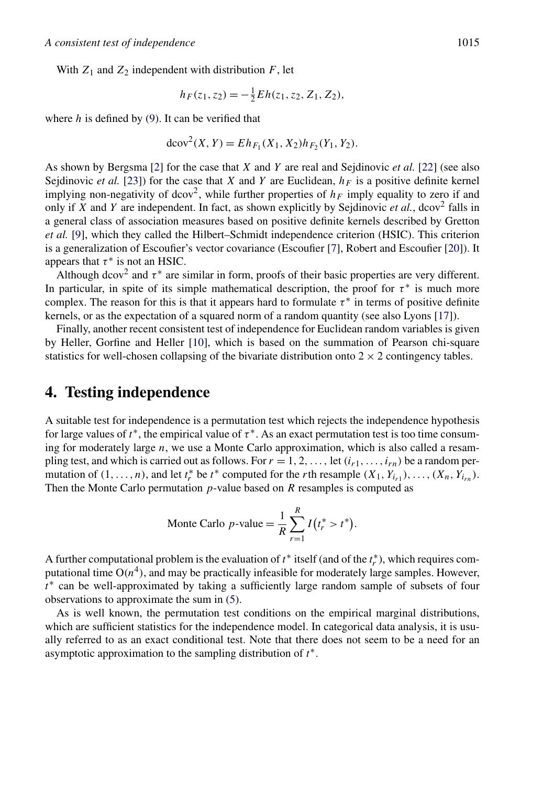<span id="page-10-0"></span>With  $Z_1$  and  $Z_2$  independent with distribution  $F$ , let

$$
h_F(z_1, z_2) = -\frac{1}{2} E h(z_1, z_2, Z_1, Z_2),
$$

where  $h$  is defined by  $(9)$ . It can be verified that

$$
dcov2(X, Y) = EhF1(X1, X2)hF2(Y1, Y2).
$$

As shown by Bergsma [\[2\]](#page-22-0) for the case that *X* and *Y* are real and Sejdinovic *et al.* [\[22\]](#page-23-0) (see also Sejdinovic *et al.* [\[23\]](#page-23-0)) for the case that *X* and *Y* are Euclidean,  $h_F$  is a positive definite kernel implying non-negativity of dcov<sup>2</sup>, while further properties of  $h_F$  imply equality to zero if and only if *X* and *Y* are independent. In fact, as shown explicitly by Seidinovic *et al.*, dcov<sup>2</sup> falls in a general class of association measures based on positive definite kernels described by Gretton *et al.* [\[9\]](#page-22-0), which they called the Hilbert–Schmidt independence criterion (HSIC). This criterion is a generalization of Escoufier's vector covariance (Escoufier [\[7\]](#page-22-0), Robert and Escoufier [\[20\]](#page-23-0)). It appears that  $\tau^*$  is not an HSIC.

Although dcov<sup>2</sup> and  $\tau^*$  are similar in form, proofs of their basic properties are very different. In particular, in spite of its simple mathematical description, the proof for  $\tau^*$  is much more complex. The reason for this is that it appears hard to formulate *τ* <sup>∗</sup> in terms of positive definite kernels, or as the expectation of a squared norm of a random quantity (see also Lyons [\[17\]](#page-23-0)).

Finally, another recent consistent test of independence for Euclidean random variables is given by Heller, Gorfine and Heller [\[10\]](#page-22-0), which is based on the summation of Pearson chi-square statistics for well-chosen collapsing of the bivariate distribution onto  $2 \times 2$  contingency tables.

### **4. Testing independence**

A suitable test for independence is a permutation test which rejects the independence hypothesis for large values of  $t^*$ , the empirical value of  $\tau^*$ . As an exact permutation test is too time consuming for moderately large *n*, we use a Monte Carlo approximation, which is also called a resampling test, and which is carried out as follows. For  $r = 1, 2, \ldots$ , let  $(i_{r1}, \ldots, i_{rn})$  be a random permutation of  $(1, \ldots, n)$ , and let  $t_r^*$  be  $t^*$  computed for the *r*th resample  $(X_1, Y_{i_{r1}}), \ldots, (X_n, Y_{i_{rn}})$ . Then the Monte Carlo permutation *p*-value based on *R* resamples is computed as

Monte Carlo *p*-value = 
$$
\frac{1}{R} \sum_{r=1}^{R} I(t_r^* > t^*).
$$

A further computational problem is the evaluation of  $t^*$  itself (and of the  $t^*$ ), which requires computational time  $O(n^4)$ , and may be practically infeasible for moderately large samples. However, *t*<sup>∗</sup> can be well-approximated by taking a sufficiently large random sample of subsets of four observations to approximate the sum in [\(5\)](#page-4-0).

As is well known, the permutation test conditions on the empirical marginal distributions, which are sufficient statistics for the independence model. In categorical data analysis, it is usually referred to as an exact conditional test. Note that there does not seem to be a need for an asymptotic approximation to the sampling distribution of *t*∗.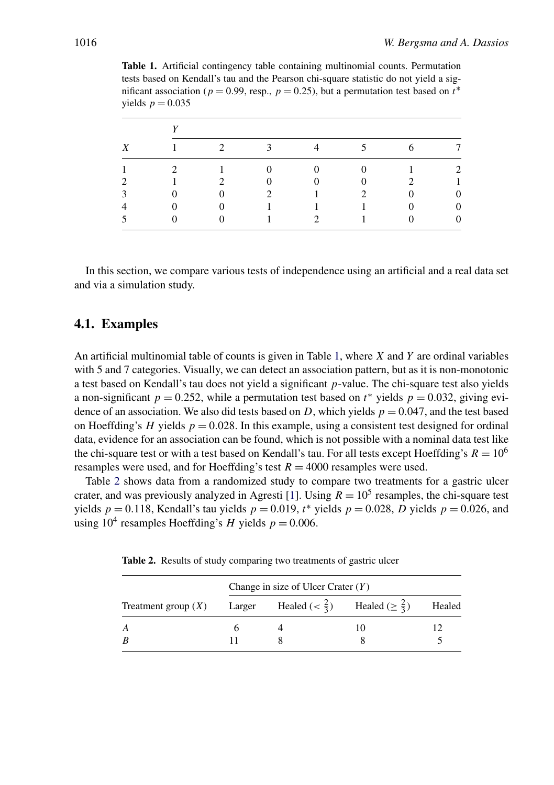| <b>Table 1.</b> Artificial contingency table containing multinomial counts. Permutation        |
|------------------------------------------------------------------------------------------------|
| tests based on Kendall's tau and the Pearson chi-square statistic do not yield a sig-          |
| nificant association ( $p = 0.99$ , resp., $p = 0.25$ ), but a permutation test based on $t^*$ |
| yields $p = 0.035$                                                                             |

| Χ |                |             |                         |                |                |   |  |  |
|---|----------------|-------------|-------------------------|----------------|----------------|---|--|--|
|   | $\overline{1}$ | $2^{\circ}$ | $\overline{\mathbf{3}}$ | $\overline{4}$ | 5 <sup>7</sup> | 6 |  |  |
|   | $\mathcal{D}$  |             | $\overline{0}$          | $\overline{0}$ | $\overline{0}$ |   |  |  |
| ာ |                |             | $\overline{0}$          | $\Omega$       | $\Omega$       |   |  |  |
| 3 |                | $\Omega$    |                         |                | 2              |   |  |  |
|   |                |             |                         | $\mathbf{1}$   | 1              |   |  |  |
|   |                |             | $\overline{1}$          | $\overline{2}$ | 1              |   |  |  |

In this section, we compare various tests of independence using an artificial and a real data set and via a simulation study.

#### **4.1. Examples**

An artificial multinomial table of counts is given in Table 1, where *X* and *Y* are ordinal variables with 5 and 7 categories. Visually, we can detect an association pattern, but as it is non-monotonic a test based on Kendall's tau does not yield a significant *p*-value. The chi-square test also yields a non-significant  $p = 0.252$ , while a permutation test based on  $t^*$  yields  $p = 0.032$ , giving evidence of an association. We also did tests based on *D*, which yields  $p = 0.047$ , and the test based on Hoeffding's *H* yields  $p = 0.028$ . In this example, using a consistent test designed for ordinal data, evidence for an association can be found, which is not possible with a nominal data test like the chi-square test or with a test based on Kendall's tau. For all tests except Hoeffding's  $R = 10^6$ resamples were used, and for Hoeffding's test  $R = 4000$  resamples were used.

Table 2 shows data from a randomized study to compare two treatments for a gastric ulcer crater, and was previously analyzed in Agresti [\[1\]](#page-22-0). Using  $R = 10^5$  resamples, the chi-square test yields  $p = 0.118$ , Kendall's tau yields  $p = 0.019$ ,  $t^*$  yields  $p = 0.028$ , *D* yields  $p = 0.026$ , and using  $10^4$  resamples Hoeffding's *H* yields  $p = 0.006$ .

**Table 2.** Results of study comparing two treatments of gastric ulcer

|                                                                                             | Change in size of Ulcer Crater $(Y)$ |  |  |  |  |  |
|---------------------------------------------------------------------------------------------|--------------------------------------|--|--|--|--|--|
| Treatment group (X) Larger Healed ( $\lt \frac{2}{3}$ ) Healed ( $\ge \frac{2}{3}$ ) Healed |                                      |  |  |  |  |  |
|                                                                                             |                                      |  |  |  |  |  |
|                                                                                             |                                      |  |  |  |  |  |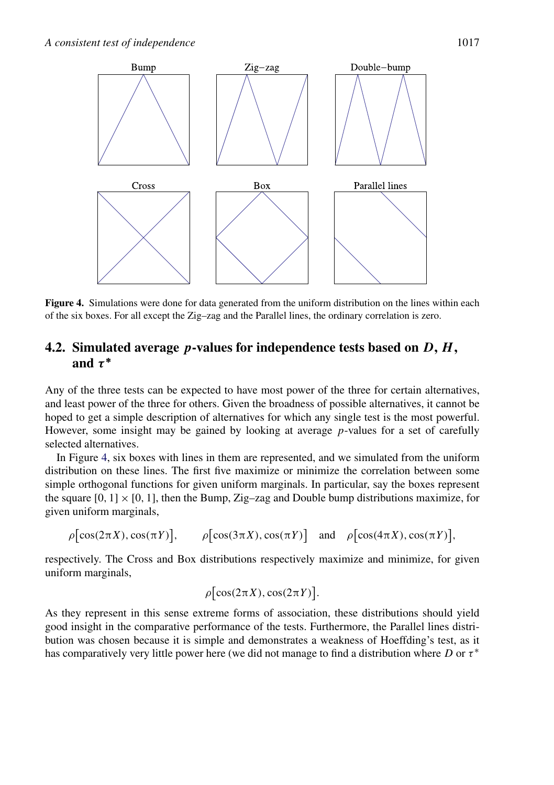<span id="page-12-0"></span>

**Figure 4.** Simulations were done for data generated from the uniform distribution on the lines within each of the six boxes. For all except the Zig–zag and the Parallel lines, the ordinary correlation is zero.

#### **4.2. Simulated average** *p***-values for independence tests based on** *D***,** *H* **, and** *τ* **∗**

Any of the three tests can be expected to have most power of the three for certain alternatives, and least power of the three for others. Given the broadness of possible alternatives, it cannot be hoped to get a simple description of alternatives for which any single test is the most powerful. However, some insight may be gained by looking at average *p*-values for a set of carefully selected alternatives.

In Figure 4, six boxes with lines in them are represented, and we simulated from the uniform distribution on these lines. The first five maximize or minimize the correlation between some simple orthogonal functions for given uniform marginals. In particular, say the boxes represent the square  $[0, 1] \times [0, 1]$ , then the Bump, Zig–zag and Double bump distributions maximize, for given uniform marginals,

$$
\rho[\cos(2\pi X), \cos(\pi Y)], \qquad \rho[\cos(3\pi X), \cos(\pi Y)] \text{ and } \rho[\cos(4\pi X), \cos(\pi Y)],
$$

respectively. The Cross and Box distributions respectively maximize and minimize, for given uniform marginals,

$$
\rho \left[ \cos(2\pi X), \cos(2\pi Y) \right].
$$

As they represent in this sense extreme forms of association, these distributions should yield good insight in the comparative performance of the tests. Furthermore, the Parallel lines distribution was chosen because it is simple and demonstrates a weakness of Hoeffding's test, as it has comparatively very little power here (we did not manage to find a distribution where *D* or *τ* <sup>∗</sup>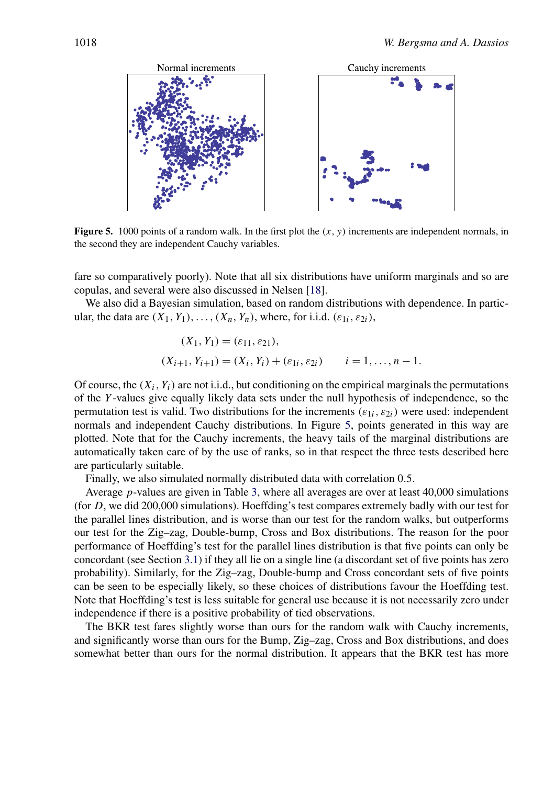<span id="page-13-0"></span>

**Figure 5.** 1000 points of a random walk. In the first plot the  $(x, y)$  increments are independent normals, in the second they are independent Cauchy variables.

fare so comparatively poorly). Note that all six distributions have uniform marginals and so are copulas, and several were also discussed in Nelsen [\[18\]](#page-23-0).

We also did a Bayesian simulation, based on random distributions with dependence. In particular, the data are  $(X_1, Y_1), \ldots, (X_n, Y_n)$ , where, for i.i.d.  $(\varepsilon_{1i}, \varepsilon_{2i})$ ,

$$
(X_1, Y_1) = (\varepsilon_{11}, \varepsilon_{21}),
$$
  
\n
$$
(X_{i+1}, Y_{i+1}) = (X_i, Y_i) + (\varepsilon_{1i}, \varepsilon_{2i}) \qquad i = 1, ..., n-1.
$$

Of course, the  $(X_i, Y_i)$  are not i.i.d., but conditioning on the empirical marginals the permutations of the *Y* -values give equally likely data sets under the null hypothesis of independence, so the permutation test is valid. Two distributions for the increments  $(\varepsilon_{1i}, \varepsilon_{2i})$  were used: independent normals and independent Cauchy distributions. In Figure 5, points generated in this way are plotted. Note that for the Cauchy increments, the heavy tails of the marginal distributions are automatically taken care of by the use of ranks, so in that respect the three tests described here are particularly suitable.

Finally, we also simulated normally distributed data with correlation 0*.*5.

Average *p*-values are given in Table [3,](#page-14-0) where all averages are over at least 40,000 simulations (for *D*, we did 200,000 simulations). Hoeffding's test compares extremely badly with our test for the parallel lines distribution, and is worse than our test for the random walks, but outperforms our test for the Zig–zag, Double-bump, Cross and Box distributions. The reason for the poor performance of Hoeffding's test for the parallel lines distribution is that five points can only be concordant (see Section [3.1\)](#page-7-0) if they all lie on a single line (a discordant set of five points has zero probability). Similarly, for the Zig–zag, Double-bump and Cross concordant sets of five points can be seen to be especially likely, so these choices of distributions favour the Hoeffding test. Note that Hoeffding's test is less suitable for general use because it is not necessarily zero under independence if there is a positive probability of tied observations.

The BKR test fares slightly worse than ours for the random walk with Cauchy increments, and significantly worse than ours for the Bump, Zig–zag, Cross and Box distributions, and does somewhat better than ours for the normal distribution. It appears that the BKR test has more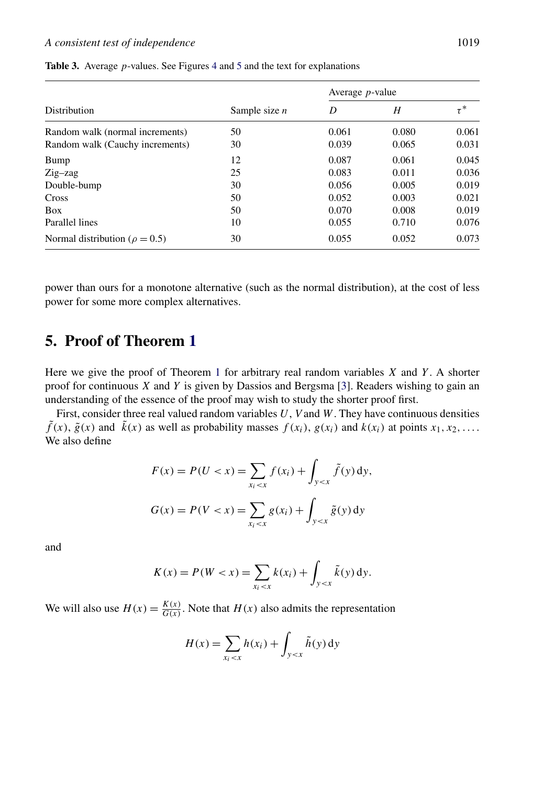|                                      | Sample size $n$ |       | Average $p$ -value |          |
|--------------------------------------|-----------------|-------|--------------------|----------|
| Distribution                         |                 | D     | H                  | $\tau^*$ |
| Random walk (normal increments)      | 50              | 0.061 | 0.080              | 0.061    |
| Random walk (Cauchy increments)      | 30              | 0.039 | 0.065              | 0.031    |
| Bump                                 | 12              | 0.087 | 0.061              | 0.045    |
| $Zig-zag$                            | 25              | 0.083 | 0.011              | 0.036    |
| Double-bump                          | 30              | 0.056 | 0.005              | 0.019    |
| Cross                                | 50              | 0.052 | 0.003              | 0.021    |
| Box                                  | 50              | 0.070 | 0.008              | 0.019    |
| Parallel lines                       | 10              | 0.055 | 0.710              | 0.076    |
| Normal distribution ( $\rho = 0.5$ ) | 30              | 0.055 | 0.052              | 0.073    |

<span id="page-14-0"></span>**Table 3.** Average *p*-values. See Figures [4](#page-12-0) and [5](#page-13-0) and the text for explanations

power than ours for a monotone alternative (such as the normal distribution), at the cost of less power for some more complex alternatives.

# **5. Proof of Theorem [1](#page-5-0)**

Here we give the proof of Theorem [1](#page-5-0) for arbitrary real random variables *X* and *Y* . A shorter proof for continuous *X* and *Y* is given by Dassios and Bergsma [\[3\]](#page-22-0). Readers wishing to gain an understanding of the essence of the proof may wish to study the shorter proof first.

First, consider three real valued random variables *U*, *V* and *W*. They have continuous densities  $\tilde{f}(x)$ ,  $\tilde{g}(x)$  and  $\tilde{k}(x)$  as well as probability masses  $f(x_i)$ ,  $g(x_i)$  and  $k(x_i)$  at points  $x_1, x_2, \ldots$ . We also define

$$
F(x) = P(U < x) = \sum_{x_i < x} f(x_i) + \int_{y < x} \tilde{f}(y) dy,
$$
  

$$
G(x) = P(V < x) = \sum_{x_i < x} g(x_i) + \int_{y < x} \tilde{g}(y) dy
$$

and

$$
K(x) = P(W < x) = \sum_{x_i < x} k(x_i) + \int_{y < x} \tilde{k}(y) \, \mathrm{d}y.
$$

We will also use  $H(x) = \frac{K(x)}{G(x)}$ . Note that  $H(x)$  also admits the representation

$$
H(x) = \sum_{x_i < x} h(x_i) + \int_{y < x} \tilde{h}(y) \, \mathrm{d}y
$$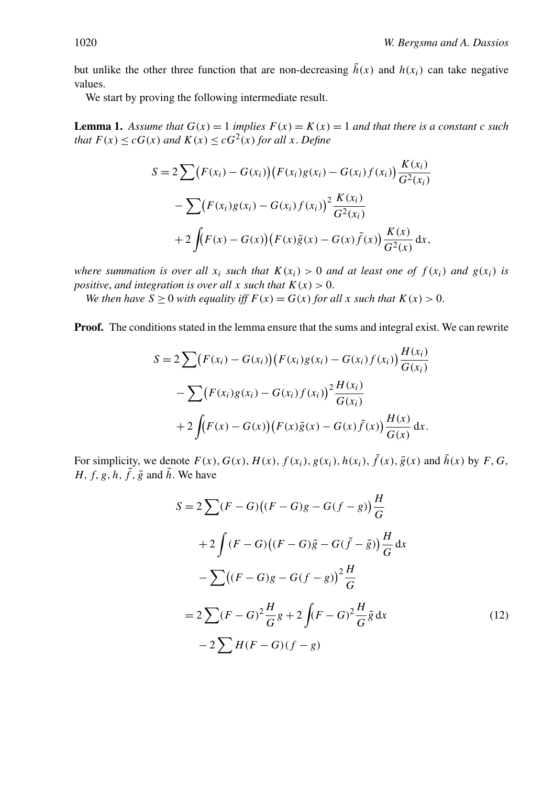<span id="page-15-0"></span>but unlike the other three function that are non-decreasing  $\tilde{h}(x)$  and  $h(x_i)$  can take negative values.

We start by proving the following intermediate result.

**Lemma 1.** Assume that  $G(x) = 1$  *implies*  $F(x) = K(x) = 1$  *and that there is a constant c such that*  $F(x) \leq cG(x)$  *and*  $K(x) \leq cG^2(x)$  *for all x*. *Define* 

$$
S = 2 \sum (F(x_i) - G(x_i))(F(x_i)g(x_i) - G(x_i)f(x_i)) \frac{K(x_i)}{G^2(x_i)}
$$
  
- 
$$
\sum (F(x_i)g(x_i) - G(x_i)f(x_i))^2 \frac{K(x_i)}{G^2(x_i)}
$$
  
+ 
$$
2 \int (F(x) - G(x))(F(x)\tilde{g}(x) - G(x)\tilde{f}(x)) \frac{K(x)}{G^2(x)} dx,
$$

*where summation is over all*  $x_i$  *such that*  $K(x_i) > 0$  *and at least one of*  $f(x_i)$  *and*  $g(x_i)$  *is positive, and integration is over all x such that*  $K(x) > 0$ .

*We then have*  $S \ge 0$  *with equality iff*  $F(x) = G(x)$  *for all x such that*  $K(x) > 0$ .

**Proof.** The conditions stated in the lemma ensure that the sums and integral exist. We can rewrite

$$
S = 2 \sum (F(x_i) - G(x_i))(F(x_i)g(x_i) - G(x_i)f(x_i)) \frac{H(x_i)}{G(x_i)}
$$
  
- 
$$
\sum (F(x_i)g(x_i) - G(x_i)f(x_i))^{2} \frac{H(x_i)}{G(x_i)}
$$
  
+ 
$$
2 \int (F(x) - G(x))(F(x)\tilde{g}(x) - G(x)\tilde{f}(x)) \frac{H(x)}{G(x)} dx.
$$

For simplicity, we denote  $F(x)$ ,  $G(x)$ ,  $H(x)$ ,  $f(x_i)$ ,  $g(x_i)$ ,  $h(x_i)$ ,  $\tilde{f}(x)$ ,  $\tilde{g}(x)$  and  $\tilde{h}(x)$  by  $F$ ,  $G$ , *H, f, g, h,*  $\tilde{f}$ *,*  $\tilde{g}$  *and*  $\tilde{h}$ *. We have* 

*S* = 2 *(F* − *G) (F* <sup>−</sup> *G)g* <sup>−</sup> *G(f* <sup>−</sup> *g)<sup>H</sup> G* + 2 *(F* − *G) (F* <sup>−</sup> *G)g*˜ <sup>−</sup> *G(f*˜ − ˜*g)<sup>H</sup> G* d*x* − *(F* <sup>−</sup> *G)g* <sup>−</sup> *G(f* <sup>−</sup> *g)*<sup>2</sup> *<sup>H</sup> G* = 2 *(F* <sup>−</sup> *G)*<sup>2</sup> *<sup>H</sup> <sup>G</sup> <sup>g</sup>* <sup>+</sup> <sup>2</sup> *(F* <sup>−</sup> *G)*<sup>2</sup> *<sup>H</sup> <sup>G</sup> <sup>g</sup>*˜ <sup>d</sup>*<sup>x</sup>* (12) − 2 *H (F* − *G)(f* − *g)*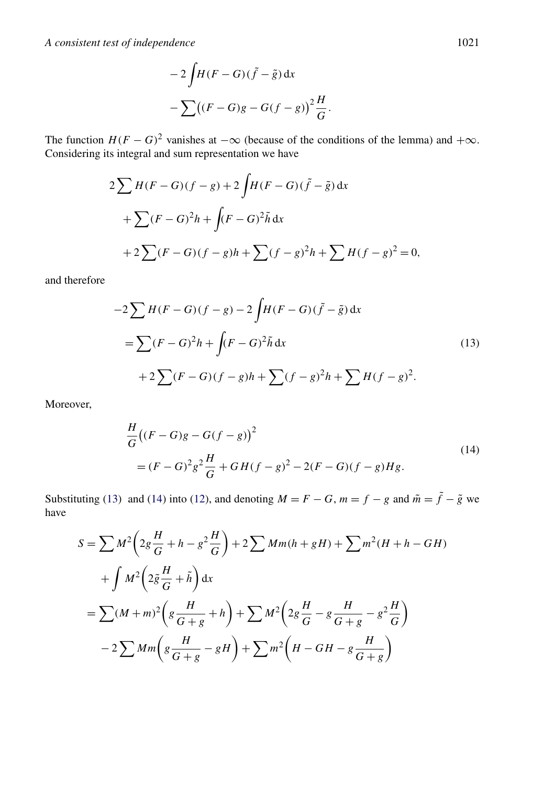$$
-2\int H(F-G)(\tilde{f}-\tilde{g}) dx
$$
  

$$
-\sum ((F-G)g-G(f-g))^2 \frac{H}{G}.
$$

The function  $H(F - G)^2$  vanishes at  $-\infty$  (because of the conditions of the lemma) and  $+\infty$ . Considering its integral and sum representation we have

$$
2\sum H(F - G)(f - g) + 2\int H(F - G)(\tilde{f} - \tilde{g}) dx
$$
  
+ 
$$
\sum (F - G)^2 h + \int (F - G)^2 \tilde{h} dx
$$
  
+ 
$$
2\sum (F - G)(f - g)h + \sum (f - g)^2 h + \sum H(f - g)^2 = 0,
$$

and therefore

$$
-2\sum H(F-G)(f-g) - 2\int H(F-G)(\tilde{f} - \tilde{g}) dx
$$
  
=  $\sum (F-G)^2 h + \int (F-G)^2 \tilde{h} dx$   
+  $2\sum (F-G)(f-g)h + \sum (f-g)^2 h + \sum H(f-g)^2.$  (13)

Moreover,

$$
\frac{H}{G}((F-G)g - G(f-g))^{2}
$$
\n
$$
= (F-G)^{2}g^{2}\frac{H}{G} + GH(f-g)^{2} - 2(F-G)(f-g)Hg.
$$
\n(14)

Substituting (13) and (14) into [\(12\)](#page-15-0), and denoting  $M = F - G$ ,  $m = f - g$  and  $\tilde{m} = \tilde{f} - \tilde{g}$  we have

$$
S = \sum M^2 \left( 2g \frac{H}{G} + h - g^2 \frac{H}{G} \right) + 2 \sum Mm(h + gH) + \sum m^2 (H + h - GH)
$$
  
+ 
$$
\int M^2 \left( 2\tilde{g} \frac{H}{G} + \tilde{h} \right) dx
$$
  
= 
$$
\sum (M + m)^2 \left( g \frac{H}{G + g} + h \right) + \sum M^2 \left( 2g \frac{H}{G} - g \frac{H}{G + g} - g^2 \frac{H}{G} \right)
$$
  
- 
$$
2 \sum Mm \left( g \frac{H}{G + g} - gH \right) + \sum m^2 \left( H - GH - g \frac{H}{G + g} \right)
$$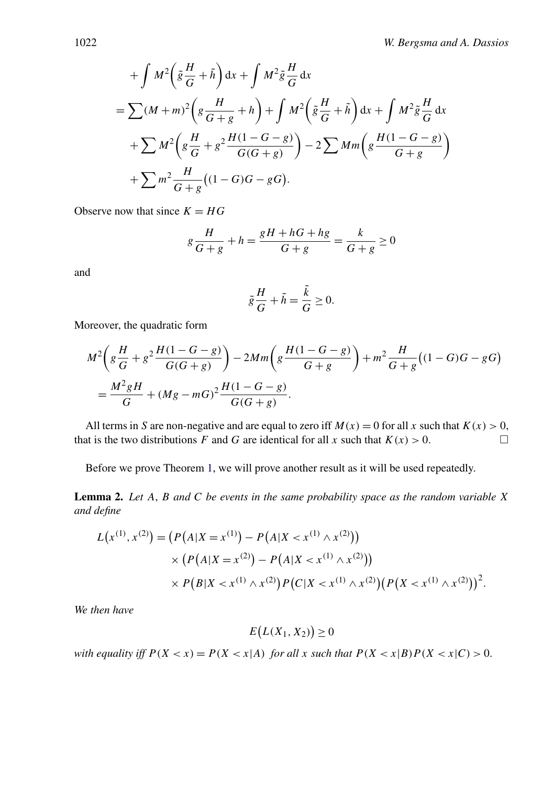<span id="page-17-0"></span>
$$
+\int M^2 \left(\tilde{g}\frac{H}{G}+\tilde{h}\right) dx + \int M^2 \tilde{g}\frac{H}{G} dx
$$
  
=  $\sum (M+m)^2 \left(g\frac{H}{G+g}+h\right) + \int M^2 \left(\tilde{g}\frac{H}{G}+\tilde{h}\right) dx + \int M^2 \tilde{g}\frac{H}{G} dx$   
+  $\sum M^2 \left(g\frac{H}{G}+g^2\frac{H(1-G-g)}{G(G+g)}\right) - 2 \sum Mm \left(g\frac{H(1-G-g)}{G+g}\right)$   
+  $\sum m^2 \frac{H}{G+g}((1-G)G-gG).$ 

Observe now that since  $K = HG$ 

$$
g\frac{H}{G+g} + h = \frac{gH + hG + hg}{G+g} = \frac{k}{G+g} \ge 0
$$

and

$$
\tilde{g}\frac{H}{G} + \tilde{h} = \frac{\tilde{k}}{G} \ge 0.
$$

Moreover, the quadratic form

$$
M^{2}\left(g\frac{H}{G}+g^{2}\frac{H(1-G-g)}{G(G+g)}\right)-2Mm\left(g\frac{H(1-G-g)}{G+g}\right)+m^{2}\frac{H}{G+g}\left((1-G)G-gG\right)
$$
  
=
$$
\frac{M^{2}gH}{G}+(Mg-mG)^{2}\frac{H(1-G-g)}{G(G+g)}.
$$

All terms in *S* are non-negative and are equal to zero iff  $M(x) = 0$  for all *x* such that  $K(x) > 0$ , that is the two distributions *F* and *G* are identical for all *x* such that  $K(x) > 0$ .

Before we prove Theorem [1,](#page-5-0) we will prove another result as it will be used repeatedly.

**Lemma 2.** *Let A*, *B and C be events in the same probability space as the random variable X and define*

$$
L(x^{(1)}, x^{(2)}) = (P(A|X = x^{(1)}) - P(A|X < x^{(1)} \wedge x^{(2)}))
$$
  
 
$$
\times (P(A|X = x^{(2)}) - P(A|X < x^{(1)} \wedge x^{(2)}))
$$
  
 
$$
\times P(B|X < x^{(1)} \wedge x^{(2)}) P(C|X < x^{(1)} \wedge x^{(2)}) (P(X < x^{(1)} \wedge x^{(2)}))^{2}.
$$

*We then have*

$$
E(L(X_1, X_2)) \ge 0
$$

*with equality iff*  $P(X < x) = P(X < x|A)$  *for all*  $x$  *such that*  $P(X < x|B)P(X < x|C) > 0$ .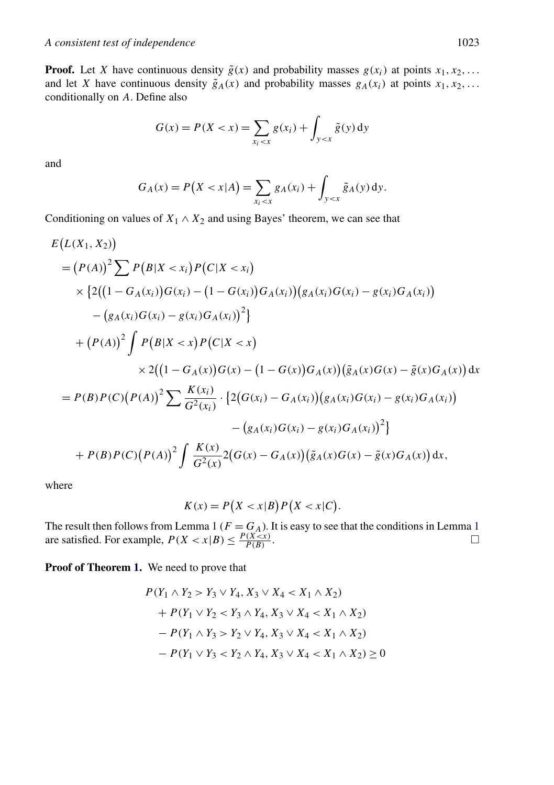**Proof.** Let *X* have continuous density  $\tilde{g}(x)$  and probability masses  $g(x_i)$  at points  $x_1, x_2, \ldots$ and let *X* have continuous density  $\tilde{g}_A(x)$  and probability masses  $g_A(x_i)$  at points  $x_1, x_2, \ldots$ conditionally on *A*. Define also

$$
G(x) = P(X < x) = \sum_{x_i < x} g(x_i) + \int_{y < x} \tilde{g}(y) \, dy
$$

and

$$
G_A(x) = P(X < x | A) = \sum_{x_i < x} g_A(x_i) + \int_{y < x} \tilde{g}_A(y) dy.
$$

Conditioning on values of  $X_1 \wedge X_2$  and using Bayes' theorem, we can see that

$$
E(L(X_1, X_2))
$$
  
=  $(P(A))^2 \sum P(B|X < x_i) P(C|X < x_i)$   
 $\times \{2((1 - G_A(x_i))G(x_i) - (1 - G(x_i))G_A(x_i))(g_A(x_i)G(x_i) - g(x_i)G_A(x_i))$   
 $- (g_A(x_i)G(x_i) - g(x_i)G_A(x_i))^2\}$   
+  $(P(A))^2 \int P(B|X < x) P(C|X < x)$   
 $\times 2((1 - G_A(x))G(x) - (1 - G(x))G_A(x))(\tilde{g}_A(x)G(x) - \tilde{g}(x)G_A(x))dx$   
=  $P(B) P(C) (P(A))^2 \sum \frac{K(x_i)}{G^2(x_i)} \cdot \{2(G(x_i) - G_A(x_i))(g_A(x_i)G(x_i) - g(x_i)G_A(x_i))$   
 $- (g_A(x_i)G(x_i) - g(x_i)G_A(x_i))^2\}$   
+  $P(B) P(C) (P(A))^2 \int \frac{K(x)}{G^2(x)} 2(G(x) - G_A(x))(\tilde{g}_A(x)G(x) - \tilde{g}(x)G_A(x))dx,$ 

where

$$
K(x) = P(X < x|B)P(X < x|C).
$$

The result then follows from Lemma [1](#page-15-0) ( $F = G_A$ ). It is easy to see that the conditions in Lemma 1 are satisfied. For example,  $P(X < x | B) \leq \frac{P(X < x)}{P(B)}$ .

**Proof of Theorem [1.](#page-5-0)** We need to prove that

$$
P(Y_1 \wedge Y_2 > Y_3 \vee Y_4, X_3 \vee X_4 < X_1 \wedge X_2) \\
+ P(Y_1 \vee Y_2 < Y_3 \wedge Y_4, X_3 \vee X_4 < X_1 \wedge X_2) \\
- P(Y_1 \wedge Y_3 > Y_2 \vee Y_4, X_3 \vee X_4 < X_1 \wedge X_2) \\
- P(Y_1 \vee Y_3 < Y_2 \wedge Y_4, X_3 \vee X_4 < X_1 \wedge X_2) \ge 0
$$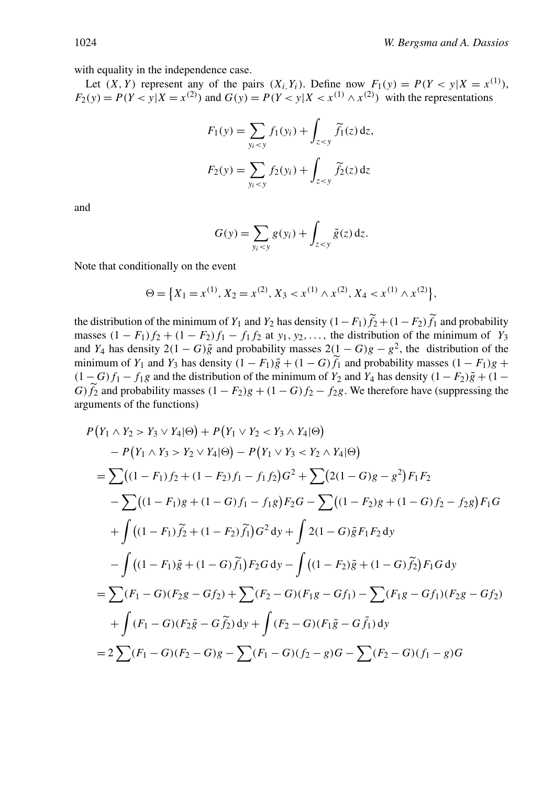with equality in the independence case.

Let  $(X, Y)$  represent any of the pairs  $(X_i, Y_i)$ . Define now  $F_1(y) = P(Y < y | X = x^{(1)})$ ,  $F_2(y) = P(Y < y | X = x^{(2)})$  and  $G(y) = P(Y < y | X < x^{(1)} \land x^{(2)})$  with the representations

$$
F_1(y) = \sum_{y_i < y} f_1(y_i) + \int_{z < y} \widetilde{f}_1(z) dz,
$$
  

$$
F_2(y) = \sum_{y_i < y} f_2(y_i) + \int_{z < y} \widetilde{f}_2(z) dz
$$

and

$$
G(y) = \sum_{y_i < y} g(y_i) + \int_{z < y} \tilde{g}(z) dz.
$$

Note that conditionally on the event

$$
\Theta = \left\{ X_1 = x^{(1)}, X_2 = x^{(2)}, X_3 < x^{(1)} \wedge x^{(2)}, X_4 < x^{(1)} \wedge x^{(2)} \right\},
$$

the distribution of the minimum of *Y*<sub>1</sub> and *Y*<sub>2</sub> has density  $(1 - F_1)f_2 + (1 - F_2)f_1$  and probability masses  $(1 - F_1)f_2 + (1 - F_2)f_1 - f_1f_2$  at *y*<sub>1</sub>*, y*<sub>2</sub>*,...,* the distribution of the minimum of *Y*<sub>3</sub> and *Y*<sub>4</sub> has density 2*(*1 − *G)* $\tilde{g}$  and probability masses 2*(*1 − *G)g* −  $g^2$ , the distribution of the minimum of *Y*<sub>1</sub> and *Y*<sub>3</sub> has density  $(1 - F_1)\tilde{g} + (1 - G)\tilde{f}_1$  and probability masses  $(1 - F_1)g$  +  $(1 - G)f_1 - f_1g$  and the distribution of the minimum of  $Y_2$  and  $Y_4$  has density  $(1 - F_2)\tilde{g} + (1 - F_2)f_1g$ *G)*  $\hat{f}_2$  and probability masses  $(1 - F_2)g + (1 - G)f_2 - f_2g$ . We therefore have (suppressing the arguments of the functions)

$$
P(Y_1 \wedge Y_2 > Y_3 \vee Y_4 | \Theta) + P(Y_1 \vee Y_2 < Y_3 \wedge Y_4 | \Theta)
$$
\n
$$
- P(Y_1 \wedge Y_3 > Y_2 \vee Y_4 | \Theta) - P(Y_1 \vee Y_3 < Y_2 \wedge Y_4 | \Theta)
$$
\n
$$
= \sum ((1 - F_1)f_2 + (1 - F_2)f_1 - f_1f_2)G^2 + \sum (2(1 - G)g - g^2)F_1F_2
$$
\n
$$
- \sum ((1 - F_1)g_2 + (1 - G)f_1 - f_1g)F_2G - \sum ((1 - F_2)g_2 + (1 - G)f_2 - f_2g)F_1G
$$
\n
$$
+ \int ((1 - F_1)\tilde{f}_2 + (1 - F_2)\tilde{f}_1)G^2 dy + \int 2(1 - G)\tilde{g}F_1F_2 dy
$$
\n
$$
- \int ((1 - F_1)\tilde{g}_2 + (1 - G)\tilde{f}_1)F_2G dy - \int ((1 - F_2)\tilde{g}_2 + (1 - G)\tilde{f}_2)F_1G dy
$$
\n
$$
= \sum (F_1 - G)(F_2g - Gf_2) + \sum (F_2 - G)(F_1g - Gf_1) - \sum (F_1g - Gf_1)(F_2g - Gf_2)
$$
\n
$$
+ \int (F_1 - G)(F_2\tilde{g} - G\tilde{f}_2) dy + \int (F_2 - G)(F_1\tilde{g} - G\tilde{f}_1) dy
$$
\n
$$
= 2 \sum (F_1 - G)(F_2 - G)g - \sum (F_1 - G)(f_2 - g)G - \sum (F_2 - G)(f_1 - g)G
$$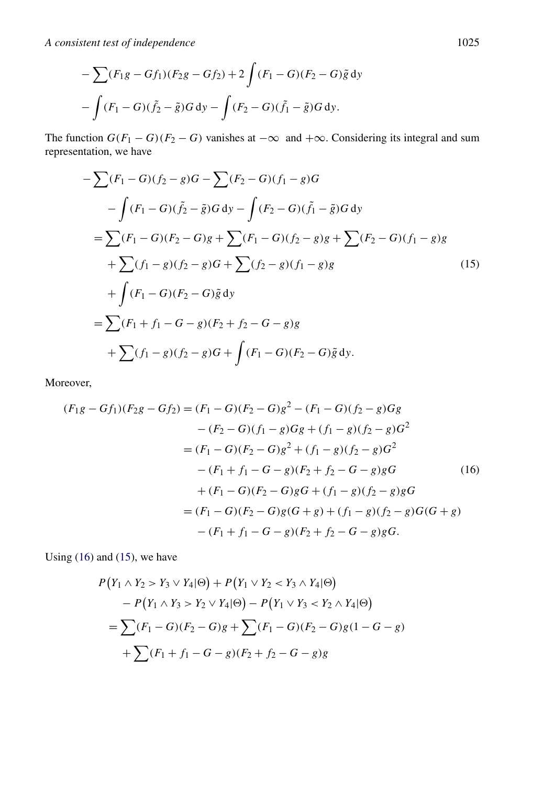*A consistent test of independence* 1025

$$
-\sum (F_1g - Gf_1)(F_2g - Gf_2) + 2\int (F_1 - G)(F_2 - G)\tilde{g} \,dy
$$

$$
-\int (F_1 - G)(\tilde{f}_2 - \tilde{g})G \,dy - \int (F_2 - G)(\tilde{f}_1 - \tilde{g})G \,dy.
$$

The function  $G(F_1 - G)(F_2 - G)$  vanishes at  $-\infty$  and  $+\infty$ . Considering its integral and sum representation, we have

$$
-\sum (F_1 - G)(f_2 - g)G - \sum (F_2 - G)(f_1 - g)G
$$
  
\n
$$
-\int (F_1 - G)(\tilde{f}_2 - \tilde{g})G dy - \int (F_2 - G)(\tilde{f}_1 - \tilde{g})G dy
$$
  
\n
$$
=\sum (F_1 - G)(F_2 - G)g + \sum (F_1 - G)(f_2 - g)g + \sum (F_2 - G)(f_1 - g)g
$$
  
\n
$$
+\sum (f_1 - g)(f_2 - g)G + \sum (f_2 - g)(f_1 - g)g
$$
  
\n
$$
+\int (F_1 - G)(F_2 - G)\tilde{g} dy
$$
  
\n
$$
=\sum (F_1 + f_1 - G - g)(F_2 + f_2 - G - g)g
$$
  
\n
$$
+\sum (f_1 - g)(f_2 - g)G + \int (F_1 - G)(F_2 - G)\tilde{g} dy.
$$
  
\n(15)

Moreover,

$$
(F_1g - Gf_1)(F_2g - Gf_2) = (F_1 - G)(F_2 - G)g^2 - (F_1 - G)(f_2 - g)Gg
$$
  
\n
$$
- (F_2 - G)(f_1 - g)Gg + (f_1 - g)(f_2 - g)G^2
$$
  
\n
$$
= (F_1 - G)(F_2 - G)g^2 + (f_1 - g)(f_2 - g)G^2
$$
  
\n
$$
- (F_1 + f_1 - G - g)(F_2 + f_2 - G - g)gG
$$
(16)  
\n
$$
+ (F_1 - G)(F_2 - G)gG + (f_1 - g)(f_2 - g)gG
$$
  
\n
$$
= (F_1 - G)(F_2 - G)g(G + g) + (f_1 - g)(f_2 - g)G(G + g)
$$
  
\n
$$
- (F_1 + f_1 - G - g)(F_2 + f_2 - G - g)gG.
$$

Using  $(16)$  and  $(15)$ , we have

$$
P(Y_1 \wedge Y_2 > Y_3 \vee Y_4 | \Theta) + P(Y_1 \vee Y_2 < Y_3 \wedge Y_4 | \Theta) \\
 \quad - P(Y_1 \wedge Y_3 > Y_2 \vee Y_4 | \Theta) - P(Y_1 \vee Y_3 < Y_2 \wedge Y_4 | \Theta) \\
 \quad = \sum (F_1 - G)(F_2 - G)g + \sum (F_1 - G)(F_2 - G)g(1 - G - g) \\
 \quad + \sum (F_1 + f_1 - G - g)(F_2 + f_2 - G - g)g
$$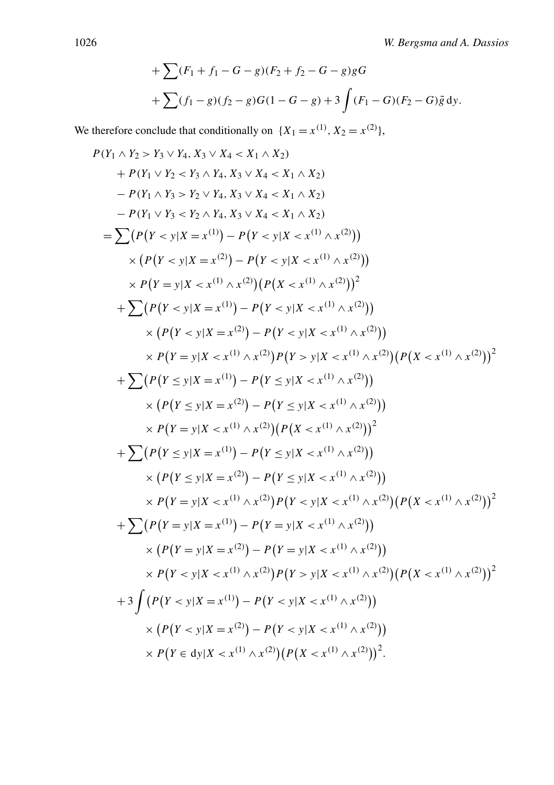+
$$
\sum (F_1 + f_1 - G - g)(F_2 + f_2 - G - g)gG
$$
  
+ $\sum (f_1 - g)(f_2 - g)G(1 - G - g) + 3 \int (F_1 - G)(F_2 - G)\tilde{g} dy.$ 

We therefore conclude that conditionally on  $\{X_1 = x^{(1)}, X_2 = x^{(2)}\}$ ,

$$
P(Y_1 \wedge Y_2 > Y_3 \vee Y_4, X_3 \vee X_4 < X_1 \wedge X_2)
$$
\n
$$
+ P(Y_1 \vee Y_2 < Y_3 \wedge Y_4, X_3 \vee X_4 < X_1 \wedge X_2)
$$
\n
$$
- P(Y_1 \wedge Y_3 > Y_2 \vee Y_4, X_3 \vee X_4 < X_1 \wedge X_2)
$$
\n
$$
- P(Y_1 \vee Y_3 < Y_2 \wedge Y_4, X_3 \vee X_4 < X_1 \wedge X_2)
$$
\n
$$
= \sum (P(Y < y | X = x^{(1)}) - P(Y < y | X < x^{(1)} \wedge x^{(2)}))
$$
\n
$$
\times P(Y = y | X < x^{(1)} \wedge x^{(2)}) (P(X < x^{(1)} \wedge x^{(2)}))^{2}
$$
\n
$$
+ \sum (P(Y < y | X = x^{(1)}) - P(Y < y | X < x^{(1)} \wedge x^{(2)}))
$$
\n
$$
\times (P(Y < y | X = x^{(1)}) - P(Y < y | X < x^{(1)} \wedge x^{(2)}))
$$
\n
$$
\times P(Y = y | X < x^{(1)} \wedge x^{(2)}) P(Y > y | X < x^{(1)} \wedge x^{(2)}) (P(X < x^{(1)} \wedge x^{(2)}))^{2}
$$
\n
$$
+ \sum (P(Y \le y | X = x^{(1)}) - P(Y \le y | X < x^{(1)} \wedge x^{(2)}))
$$
\n
$$
\times (P(Y = y | X < x^{(1)} \wedge x^{(2)})) P(Y < x^{(1)} \wedge x^{(2)}))
$$
\n
$$
\times P(Y = y | X < x^{(1)} \wedge x^{(2)}) (P(X < x^{(1)} \wedge x^{(2)}))^{2}
$$
\n
$$
+ \sum (P(Y \le y | X = x^{(1)}) - P(Y \le y | X < x^{(1)} \wedge x^{(2)}))
$$
\n
$$
\times P(Y = y | X < x^{(1)} \wedge x^{(2)}) P(Y < x^{(1)} \w
$$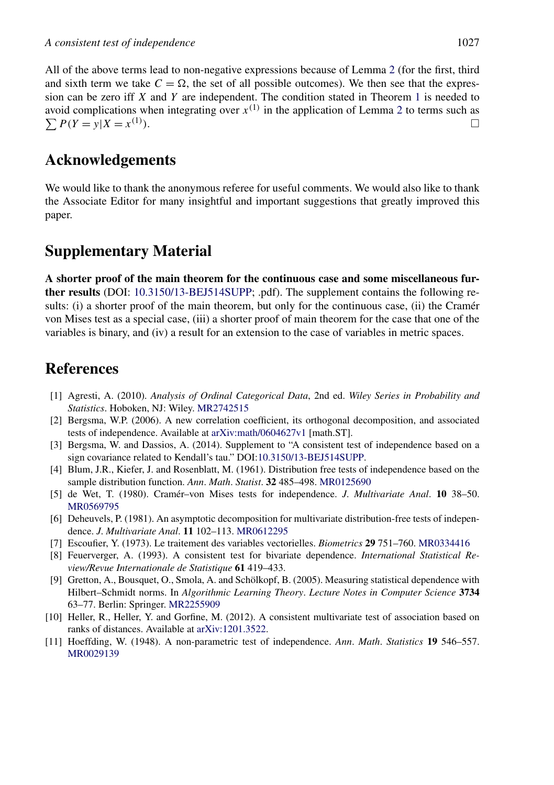<span id="page-22-0"></span>All of the above terms lead to non-negative expressions because of Lemma [2](#page-17-0) (for the first, third and sixth term we take  $C = \Omega$ , the set of all possible outcomes). We then see that the expression can be zero iff *X* and *Y* are independent. The condition stated in Theorem [1](#page-5-0) is needed to avoid complications when integrating over  $x^{(1)}$  in the application of Lemma [2](#page-17-0) to terms such as  $\sum P(Y = y | X = x^{(1)}$ *)*. -

# **Acknowledgements**

We would like to thank the anonymous referee for useful comments. We would also like to thank the Associate Editor for many insightful and important suggestions that greatly improved this paper.

# **Supplementary Material**

**A shorter proof of the main theorem for the continuous case and some miscellaneous further results** (DOI: [10.3150/13-BEJ514SUPP;](http://dx.doi.org/10.3150/13-BEJ514SUPP) .pdf). The supplement contains the following results: (i) a shorter proof of the main theorem, but only for the continuous case, (ii) the Cramér von Mises test as a special case, (iii) a shorter proof of main theorem for the case that one of the variables is binary, and (iv) a result for an extension to the case of variables in metric spaces.

# **References**

- [1] Agresti, A. (2010). *Analysis of Ordinal Categorical Data*, 2nd ed. *Wiley Series in Probability and Statistics*. Hoboken, NJ: Wiley. [MR2742515](http://www.ams.org/mathscinet-getitem?mr=2742515)
- [2] Bergsma, W.P. (2006). A new correlation coefficient, its orthogonal decomposition, and associated tests of independence. Available at [arXiv:math/0604627v1](http://arxiv.org/abs/arXiv:math/0604627v1) [math.ST].
- [3] Bergsma, W. and Dassios, A. (2014). Supplement to "A consistent test of independence based on a sign covariance related to Kendall's tau." DOI[:10.3150/13-BEJ514SUPP](http://dx.doi.org/10.3150/13-BEJ514SUPP).
- [4] Blum, J.R., Kiefer, J. and Rosenblatt, M. (1961). Distribution free tests of independence based on the sample distribution function. *Ann*. *Math*. *Statist*. **32** 485–498. [MR0125690](http://www.ams.org/mathscinet-getitem?mr=0125690)
- [5] de Wet, T. (1980). Cramér–von Mises tests for independence. *J*. *Multivariate Anal*. **10** 38–50. [MR0569795](http://www.ams.org/mathscinet-getitem?mr=0569795)
- [6] Deheuvels, P. (1981). An asymptotic decomposition for multivariate distribution-free tests of independence. *J*. *Multivariate Anal*. **11** 102–113. [MR0612295](http://www.ams.org/mathscinet-getitem?mr=0612295)
- [7] Escoufier, Y. (1973). Le traitement des variables vectorielles. *Biometrics* **29** 751–760. [MR0334416](http://www.ams.org/mathscinet-getitem?mr=0334416)
- [8] Feuerverger, A. (1993). A consistent test for bivariate dependence. *International Statistical Review/Revue Internationale de Statistique* **61** 419–433.
- [9] Gretton, A., Bousquet, O., Smola, A. and Schölkopf, B. (2005). Measuring statistical dependence with Hilbert–Schmidt norms. In *Algorithmic Learning Theory*. *Lecture Notes in Computer Science* **3734** 63–77. Berlin: Springer. [MR2255909](http://www.ams.org/mathscinet-getitem?mr=2255909)
- [10] Heller, R., Heller, Y. and Gorfine, M. (2012). A consistent multivariate test of association based on ranks of distances. Available at [arXiv:1201.3522](http://arxiv.org/abs/arXiv:1201.3522).
- [11] Hoeffding, W. (1948). A non-parametric test of independence. *Ann*. *Math*. *Statistics* **19** 546–557. [MR0029139](http://www.ams.org/mathscinet-getitem?mr=0029139)